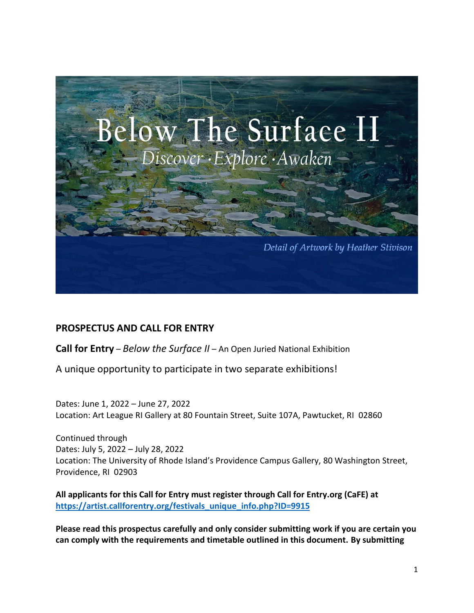

# **PROSPECTUS AND CALL FOR ENTRY**

**Call for Entry** – *Below the Surface II* – An Open Juried National Exhibition

A unique opportunity to participate in two separate exhibitions!

Dates: June 1, 2022 – June 27, 2022 Location: Art League RI Gallery at 80 Fountain Street, Suite 107A, Pawtucket, RI 02860

Continued through Dates: July 5, 2022 – July 28, 2022 Location: The University of Rhode Island's Providence Campus Gallery, 80 Washington Street, Providence, RI 02903

**All applicants for this Call for Entry must register through Call for Entry.org (CaFE) at [https://artist.callforentry.org/festivals\\_unique\\_info.php?ID=9915](https://artist.callforentry.org/festivals_unique_info.php?ID=9915)**

**Please read this prospectus carefully and only consider submitting work if you are certain you can comply with the requirements and timetable outlined in this document. By submitting**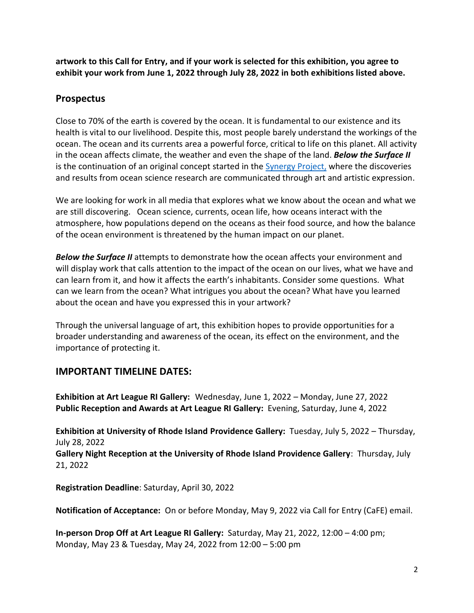**artwork to this Call for Entry, and if your work is selected for this exhibition, you agree to exhibit your work from June 1, 2022 through July 28, 2022 in both exhibitions listed above.**

### **Prospectus**

Close to 70% of the earth is covered by the ocean. It is fundamental to our existence and its health is vital to our livelihood. Despite this, most people barely understand the workings of the ocean. The ocean and its currents area a powerful force, critical to life on this planet. All activity in the ocean affects climate, the weather and even the shape of the land. *Below the Surface II*  is the continuation of an original concept started in the [Synergy Project,](https://www.synergyexperience.org/) where the discoveries and results from ocean science research are communicated through art and artistic expression.

We are looking for work in all media that explores what we know about the ocean and what we are still discovering. Ocean science, currents, ocean life, how oceans interact with the atmosphere, how populations depend on the oceans as their food source, and how the balance of the ocean environment is threatened by the human impact on our planet.

*Below the Surface II* attempts to demonstrate how the ocean affects your environment and will display work that calls attention to the impact of the ocean on our lives, what we have and can learn from it, and how it affects the earth's inhabitants. Consider some questions. What can we learn from the ocean? What intrigues you about the ocean? What have you learned about the ocean and have you expressed this in your artwork?

Through the universal language of art, this exhibition hopes to provide opportunities for a broader understanding and awareness of the ocean, its effect on the environment, and the importance of protecting it.

# **IMPORTANT TIMELINE DATES:**

**Exhibition at Art League RI Gallery:** Wednesday, June 1, 2022 – Monday, June 27, 2022 **Public Reception and Awards at Art League RI Gallery:** Evening, Saturday, June 4, 2022

**Exhibition at University of Rhode Island Providence Gallery:** Tuesday, July 5, 2022 – Thursday, July 28, 2022

**Gallery Night Reception at the University of Rhode Island Providence Gallery**: Thursday, July 21, 2022

**Registration Deadline**: Saturday, April 30, 2022

**Notification of Acceptance:** On or before Monday, May 9, 2022 via Call for Entry (CaFE) email.

**In-person Drop Off at Art League RI Gallery:** Saturday, May 21, 2022, 12:00 – 4:00 pm; Monday, May 23 & Tuesday, May 24, 2022 from 12:00 – 5:00 pm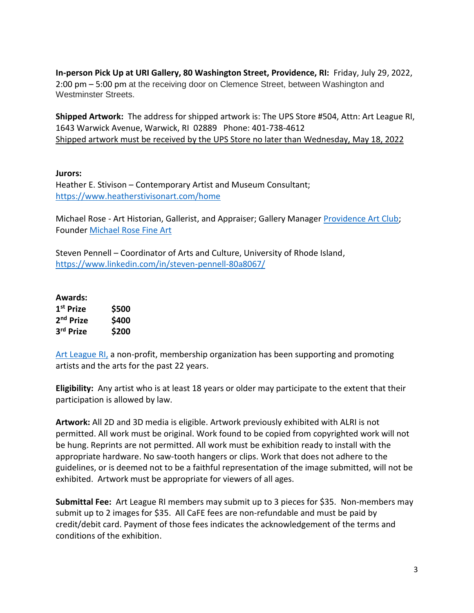**In-person Pick Up at URI Gallery, 80 Washington Street, Providence, RI:** Friday, July 29, 2022, 2:00 pm – 5:00 pm at the receiving door on Clemence Street, between Washington and Westminster Streets.

**Shipped Artwork:** The address for shipped artwork is: The UPS Store #504, Attn: Art League RI, 1643 Warwick Avenue, Warwick, RI 02889 Phone: 401-738-4612 Shipped artwork must be received by the UPS Store no later than Wednesday, May 18, 2022

#### **Jurors:**

Heather E. Stivison – Contemporary Artist and Museum Consultant; <https://www.heatherstivisonart.com/home>

Michael Rose - Art Historian, Gallerist, and Appraiser; Gallery Manager [Providence Art Club;](https://providenceartclub.org/) Founder [Michael Rose Fine Art](https://www.michaelrosefineart.com/) 

Steven Pennell – Coordinator of Arts and Culture, University of Rhode Island, <https://www.linkedin.com/in/steven-pennell-80a8067/>

| Awards:               |       |
|-----------------------|-------|
| 1 <sup>st</sup> Prize | \$500 |
| 2 <sup>nd</sup> Prize | \$400 |
| 3rd Prize             | \$200 |

[Art League RI,](https://artleagueri.org/) a non-profit, membership organization has been supporting and promoting artists and the arts for the past 22 years.

**Eligibility:** Any artist who is at least 18 years or older may participate to the extent that their participation is allowed by law.

**Artwork:** All 2D and 3D media is eligible. Artwork previously exhibited with ALRI is not permitted. All work must be original. Work found to be copied from copyrighted work will not be hung. Reprints are not permitted. All work must be exhibition ready to install with the appropriate hardware. No saw-tooth hangers or clips. Work that does not adhere to the guidelines, or is deemed not to be a faithful representation of the image submitted, will not be exhibited. Artwork must be appropriate for viewers of all ages.

**Submittal Fee:** Art League RI members may submit up to 3 pieces for \$35.Non-members may submit up to 2 images for \$35. All CaFE fees are non-refundable and must be paid by credit/debit card. Payment of those fees indicates the acknowledgement of the terms and conditions of the exhibition.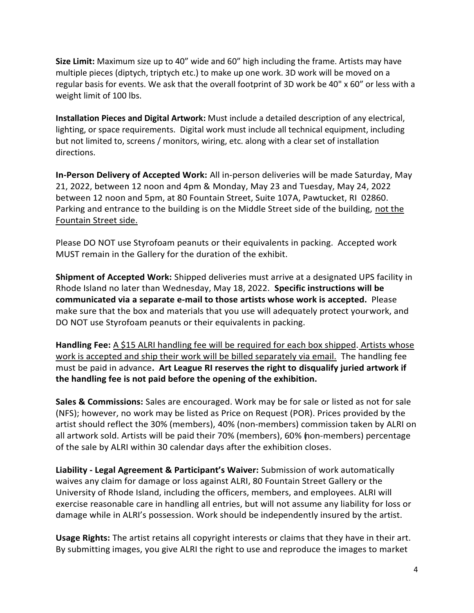**Size Limit:** Maximum size up to 40" wide and 60" high including the frame. Artists may have multiple pieces (diptych, triptych etc.) to make up one work. 3D work will be moved on a regular basis for events. We ask that the overall footprint of 3D work be 40" x 60" or less with a weight limit of 100 lbs.

**Installation Pieces and Digital Artwork:** Must include a detailed description of any electrical, lighting, or space requirements. Digital work must include all technical equipment, including but not limited to, screens / monitors, wiring, etc. along with a clear set of installation directions.

**In-Person Delivery of Accepted Work:** All in-person deliveries will be made Saturday, May 21, 2022, between 12 noon and 4pm & Monday, May 23 and Tuesday, May 24, 2022 between 12 noon and 5pm, at 80 Fountain Street, Suite 107A, Pawtucket, RI 02860. Parking and entrance to the building is on the Middle Street side of the building, not the Fountain Street side.

Please DO NOT use Styrofoam peanuts or their equivalents in packing. Accepted work MUST remain in the Gallery for the duration of the exhibit.

**Shipment of Accepted Work:** Shipped deliveries must arrive at a designated UPS facility in Rhode Island no later than Wednesday, May 18, 2022. **Specific instructions will be communicated via a separate e-mail to those artists whose work is accepted.** Please make sure that the box and materials that you use will adequately protect yourwork, and DO NOT use Styrofoam peanuts or their equivalents in packing.

**Handling Fee:** A \$15 ALRI handling fee will be required for each box shipped. Artists whose work is accepted and ship their work will be billed separately via email. The handling fee must be paid in advance**. Art League RI reserves the right to disqualify juried artwork if the handling fee is not paid before the opening of the exhibition.** 

**Sales & Commissions:** Sales are encouraged. Work may be for sale or listed as not for sale (NFS); however, no work may be listed as Price on Request (POR). Prices provided by the artist should reflect the 30% (members), 40% (non-members) commission taken by ALRI on all artwork sold. Artists will be paid their 70% (members), 60% (non-members) percentage of the sale by ALRI within 30 calendar days after the exhibition closes.

**Liability - Legal Agreement & Participant's Waiver:** Submission of work automatically waives any claim for damage or loss against ALRI, 80 Fountain Street Gallery or the University of Rhode Island, including the officers, members, and employees. ALRI will exercise reasonable care in handling all entries, but will not assume any liability for loss or damage while in ALRI's possession. Work should be independently insured by the artist.

**Usage Rights:** The artist retains all copyright interests or claims that they have in their art. By submitting images, you give ALRI the right to use and reproduce the images to market